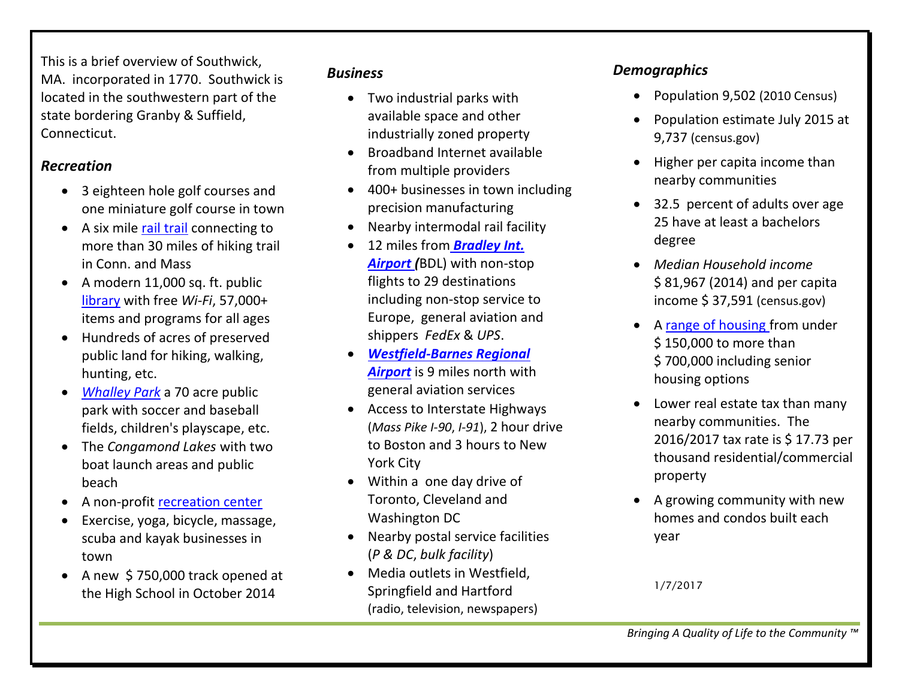This is a brief overview of Southwick, MA. incorporated in 1770. Southwick is located in the southwestern part of the state bordering Granby & Suffield, Connecticut.

#### *Recreation*

- 3 eighteen hole golf courses and one miniature golf course in town
- A six mile [rail trail](file:///J:/MJM/2017/EDC/Marketing%20Material/southwickma.org/park) connecting to more than 30 miles of hiking trail in Conn. and Mass
- A modern 11,000 sq. ft. public [library](file:///J:/MJM/2017/EDC/Marketing%20Material/southwickma.org/library) with free *Wi-Fi*, 57,000+ items and programs for all ages
- Hundreds of acres of preserved public land for hiking, walking, hunting, etc.
- *[Whalley Park](file:///J:/MJM/2017/EDC/Marketing%20Material/southwickma.org/park)* a 70 acre public park with soccer and baseball fields, children's playscape, etc.
- The *Congamond Lakes* with two boat launch areas and public beach
- A non-profit [recreation center](file:///J:/MJM/2017/EDC/Marketing%20Material/southwickreccenter.org)
- Exercise, yoga, bicycle, massage, scuba and kayak businesses in town
- A new \$750,000 track opened at the High School in October 2014

#### *Business*

- Two industrial parks with available space and other industrially zoned property
- Broadband Internet available from multiple providers
- 400+ businesses in town including precision manufacturing
- Nearby intermodal rail facility
- 12 miles from *[Bradley Int.](file:///J:/MJM/2017/EDC/Marketing%20Material/bradleyairport.com)  [Airport \(](file:///J:/MJM/2017/EDC/Marketing%20Material/bradleyairport.com)*BDL) with non-stop flights to 29 destinations including non-stop service to Europe, general aviation and shippers *FedEx* & *UPS*.
- *[Westfield-Barnes Regional](file:///J:/MJM/2017/EDC/Marketing%20Material/barnesairport.com)  [Airport](file:///J:/MJM/2017/EDC/Marketing%20Material/barnesairport.com)* is 9 miles north with general aviation services
- Access to Interstate Highways (*Mass Pike I-90*, *I-91*), 2 hour drive to Boston and 3 hours to New York City
- Within a one day drive of Toronto, Cleveland and Washington DC
- Nearby postal service facilities (*P & DC*, *bulk facility*)
- Media outlets in Westfield, Springfield and Hartford (radio, television, newspapers)

### *Demographics*

- Population 9,502 (2010 Census)
- Population estimate July 2015 at 9,737 (census.gov)
- $\bullet$  Higher per capita income than nearby communities
- 32.5 percent of adults over age 25 have at least a bachelors degree
- *Median Household income*  \$ 81,967 (2014) and per capita income \$ 37,591 (census.gov)
- A [range of housing f](http://www.realtor.com/realestateandhomes-search/Southwick_MA)rom under \$ 150,000 to more than \$ 700,000 including senior housing options
- Lower real estate tax than many nearby communities. The 2016/2017 tax rate is \$ 17.73 per thousand residential/commercial property
- A growing community with new homes and condos built each year

1/7/2017